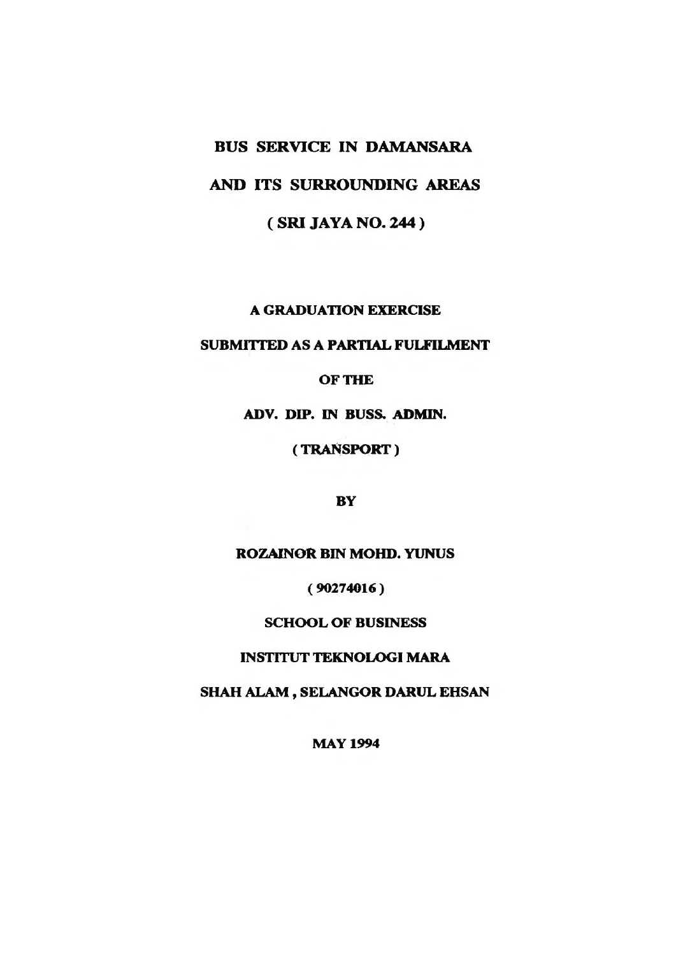# **BUS SERVICE IN DAMANSARA**

# **AND ITS SURROUNDING AREAS**

**( SRI JAYA NO. 244 )**

A GRADUATION EXERCISE

SUBMITTED AS A PARTIAL FULFILMENT

OF THE

ADV. DIP. IN BUSS. ADMIN.

(TRANSPORT)

BY

ROZAINOR BIN MOHD. YUNUS

( 90274016)

SCHOOL OF BUSINESS

INSTITUT TEKNOLOGI MARA

SHAH ALAM, SELANGOR DARUL EHSAN

**MAY 1994**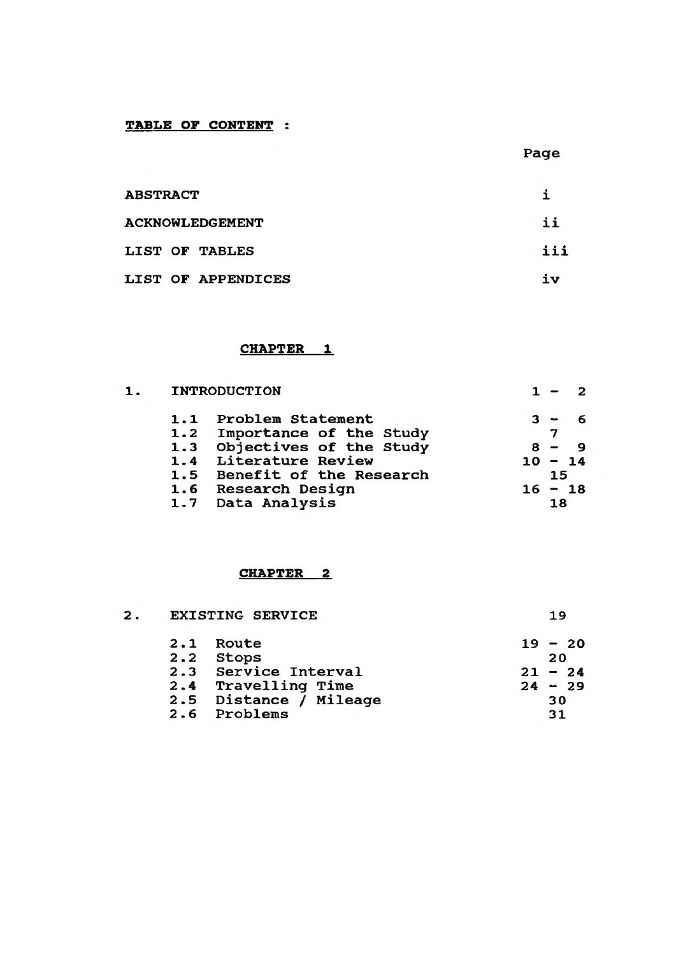# **TABLE OF CONTENT**

**Page**

| <b>ABSTRACT</b>        |     |
|------------------------|-----|
| <b>ACKNOWLEDGEMENT</b> | ii  |
| LIST OF TABLES         | iii |
| LIST OF APPENDICES     | iν  |

## **CHAPTER\_\_1**

| 1. |     | <b>INTRODUCTION</b>     |           |    | $\overline{2}$ |
|----|-----|-------------------------|-----------|----|----------------|
|    | 1.1 | Problem Statement       | 3 -       |    | 6              |
|    | 1.2 | Importance of the Study |           |    |                |
|    | 1.3 | Objectives of the Study |           |    |                |
|    | 1.4 | Literature Review       | $10 - 14$ |    |                |
|    | 1.5 | Benefit of the Research |           | 15 |                |
|    |     | 1.6 Research Design     | 16.       |    | $-18$          |
|    | 1.7 | Data Analysis           |           | 18 |                |

## **CHAPTER\_\_2**

| 19        |  |
|-----------|--|
| $19 - 20$ |  |
| 20        |  |
| $21 - 24$ |  |
| $24 - 29$ |  |
| 30        |  |
| 31        |  |
|           |  |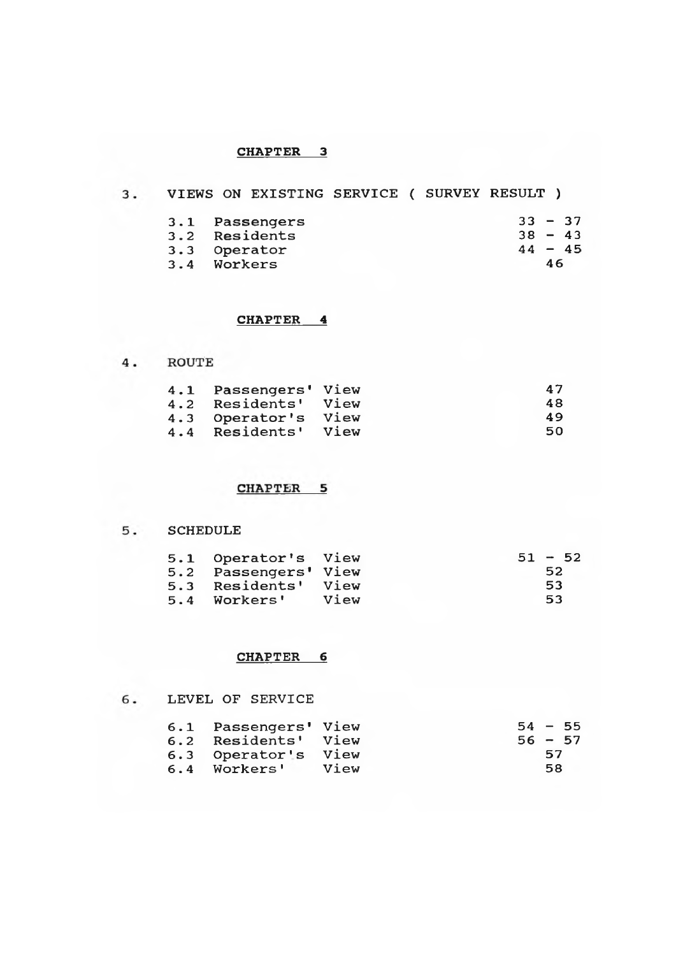#### **CHAPTER 3**

# **VIEWS ON EXISTING SERVICE ( SURVEY RESULT )**

|     | 3.1 Passengers | $33 - 37$ |    |           |
|-----|----------------|-----------|----|-----------|
| 3.2 | Residents      | $38 - 43$ |    |           |
|     | 3.3 Operator   |           |    | $44 - 45$ |
|     | 3.4 Workers    |           | 46 |           |

## **CHAPTER 4**

4. ROUTE

|     | 4.1 Passengers' View |      | 47 |
|-----|----------------------|------|----|
| 4.2 | Residents' View      |      | 48 |
| 4.3 | Operator's           | View | 49 |
| 4.4 | Residents'           | View | 50 |

# **CHAPTER 5**

## **SCHEDULE**

|     | 5.1 Operator's View  |      |  | $51 - 52$ |
|-----|----------------------|------|--|-----------|
|     | 5.2 Passengers' View |      |  | 52        |
| 5.3 | Residents' View      |      |  | 53        |
| 5.4 | Workers'             | View |  | 53        |

#### **CHAPTER 6**

### **LEVEL OF SERVICE**

|     | 6.1 Passengers' View |      | $54 - 55$ |    |  |
|-----|----------------------|------|-----------|----|--|
| 6.2 | Residents' View      |      | $56 - 57$ |    |  |
|     | 6.3 Operator's       | View |           | 57 |  |
|     | 6.4 Workers'         | View |           | 58 |  |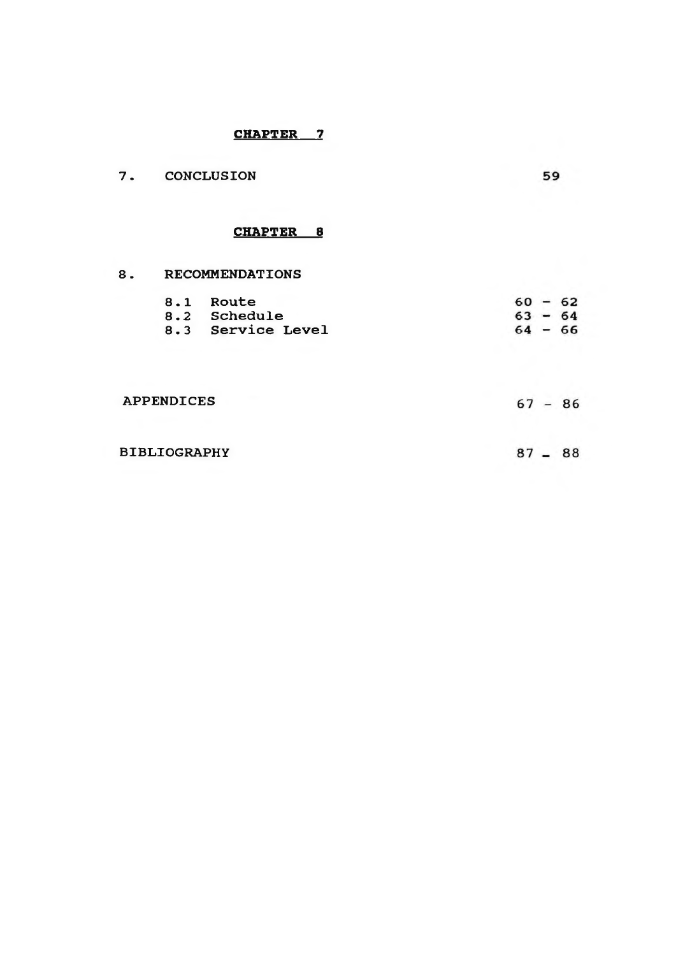# **CHAPTER 7**

| 7.                  | <b>CONCLUSION</b> |                                                | 59                                  |  |
|---------------------|-------------------|------------------------------------------------|-------------------------------------|--|
|                     |                   | CHAPTER 8                                      |                                     |  |
| 8.                  |                   | <b>RECOMMENDATIONS</b>                         |                                     |  |
|                     |                   | 8.1 Route<br>8.2 Schedule<br>8.3 Service Level | $60 - 62$<br>$63 - 64$<br>$64 - 66$ |  |
|                     | <b>APPENDICES</b> |                                                | $67 - 86$                           |  |
| <b>BIBLIOGRAPHY</b> |                   |                                                | $87 - 88$                           |  |
|                     |                   |                                                |                                     |  |